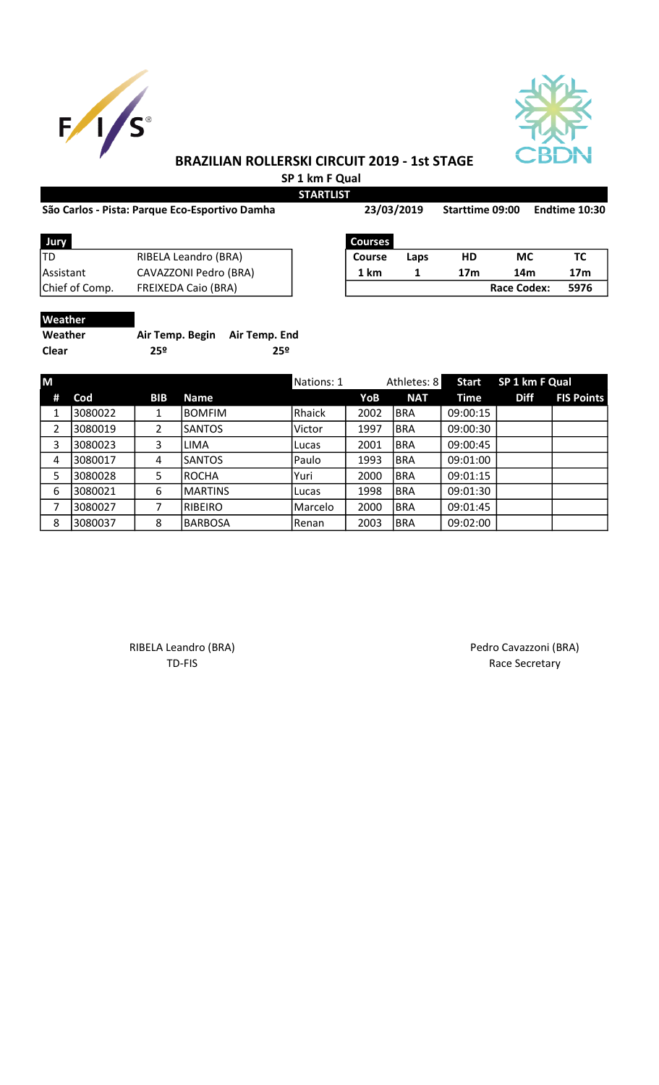



## BRAZILIAN ROLLERSKI CIRCUIT 2019 - 1st STAGE SP 1 km F Qual

STA

## São Carlos - Pista: Parque Eco-Esportivo Damha 23/03/2019 Starttime 09:00 Endtime 10:30

| R<br>١ |  | K | ı |  |  |  |
|--------|--|---|---|--|--|--|
|--------|--|---|---|--|--|--|

| 23/03/2019     |      | <b>Starttime 09:00</b> |     | Endtime 10:30 |
|----------------|------|------------------------|-----|---------------|
| <b>Courses</b> |      |                        |     |               |
| <b>Course</b>  | Laps | HD                     | МC  | ТC            |
| 1 km           |      | 17m                    | 14m | 17m           |

| Jury           |                            | <b>Courses</b> |      |     |             |      |
|----------------|----------------------------|----------------|------|-----|-------------|------|
| TD             | RIBELA Leandro (BRA)       | <b>Course</b>  | Laps | HD  | МC          | тс   |
| Assistant      | CAVAZZONI Pedro (BRA)      | 1 km           |      | 17m | 14m         | 17m  |
| Chief of Comp. | <b>FREIXEDA Caio (BRA)</b> |                |      |     | Race Codex: | 5976 |
|                |                            |                |      |     |             |      |

| <b>Weather</b> |                               |     |
|----------------|-------------------------------|-----|
| Weather        | Air Temp. Begin Air Temp. End |     |
| <b>Clear</b>   | 25º                           | 259 |

| M |         |            |                | Nations: 1 |      | Athletes: 8 | <b>Start</b> | SP 1 km F Qual |                   |
|---|---------|------------|----------------|------------|------|-------------|--------------|----------------|-------------------|
| # | Cod     | <b>BIB</b> | <b>Name</b>    |            | YoB  | <b>NAT</b>  | Time         | <b>Diff</b>    | <b>FIS Points</b> |
| 1 | 3080022 |            | <b>BOMFIM</b>  | Rhaick     | 2002 | <b>BRA</b>  | 09:00:15     |                |                   |
| 2 | 3080019 | 2          | <b>SANTOS</b>  | Victor     | 1997 | <b>BRA</b>  | 09:00:30     |                |                   |
| 3 | 3080023 | 3          | <b>LIMA</b>    | Lucas      | 2001 | <b>BRA</b>  | 09:00:45     |                |                   |
| 4 | 3080017 | 4          | <b>SANTOS</b>  | Paulo      | 1993 | <b>BRA</b>  | 09:01:00     |                |                   |
| 5 | 3080028 | 5          | ROCHA          | Yuri       | 2000 | <b>BRA</b>  | 09:01:15     |                |                   |
| 6 | 3080021 | 6          | <b>MARTINS</b> | Lucas      | 1998 | <b>BRA</b>  | 09:01:30     |                |                   |
| 7 | 3080027 | 7          | RIBEIRO        | Marcelo    | 2000 | <b>BRA</b>  | 09:01:45     |                |                   |
| 8 | 3080037 | 8          | <b>BARBOSA</b> | l Renan    | 2003 | <b>BRA</b>  | 09:02:00     |                |                   |

RIBELA Leandro (BRA) **Pedro Cavazzoni (BRA)** 

TD-FIS Race Secretary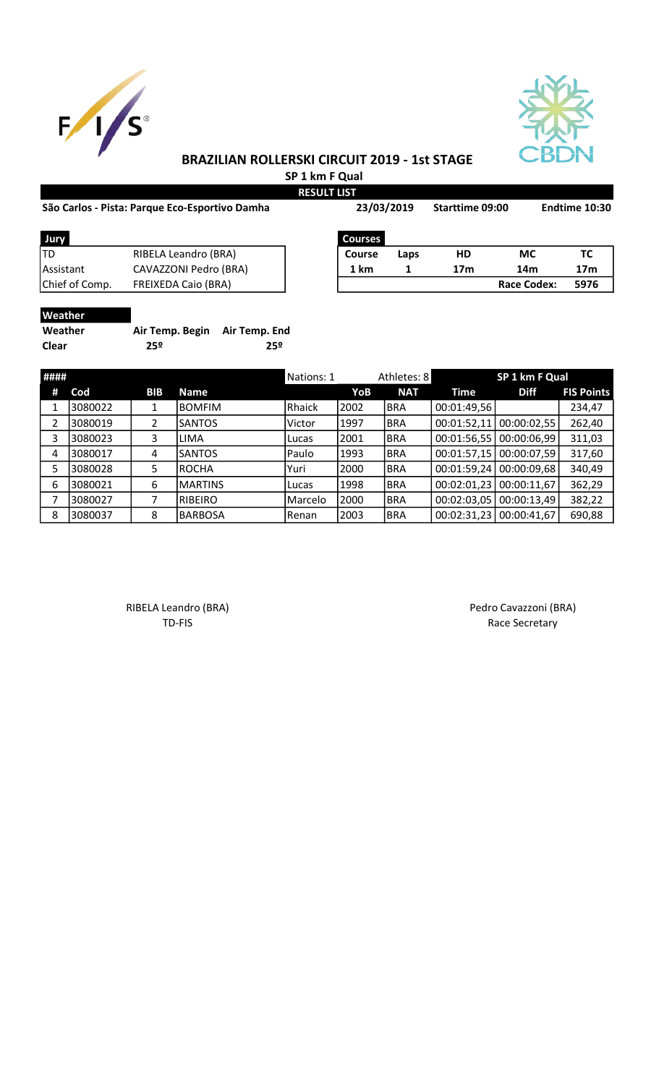



# BRAZILIAN ROLLERSKI CIRCUIT 2019 - 1st STAGE

 SP 1 km F Qual RESULT LIST

|  | São Carlos - Pista: Parque Eco-Esportivo Damha |  |
|--|------------------------------------------------|--|
|  |                                                |  |

| São Carlos - Pista: Parque Eco-Esportivo Damha |                            |                | 23/03/2019 |                 | Starttime 09:00 | Endtime 10:30   |  |
|------------------------------------------------|----------------------------|----------------|------------|-----------------|-----------------|-----------------|--|
| Jury                                           |                            | <b>Courses</b> |            |                 |                 |                 |  |
| ltd                                            | RIBELA Leandro (BRA)       | <b>Course</b>  | Laps       | HD              | МC              | тс              |  |
| Assistant                                      | CAVAZZONI Pedro (BRA)      | 1 km           | 1          | 17 <sub>m</sub> | 14 <sub>m</sub> | 17 <sub>m</sub> |  |
| Chief of Comp.                                 | <b>FREIXEDA Caio (BRA)</b> |                |            |                 | Race Codex:     | 5976            |  |
| <b>Weather</b>                                 |                            |                |            |                 |                 |                 |  |

| <u>vveau iei</u> |                               |     |
|------------------|-------------------------------|-----|
| Weather          | Air Temp. Begin Air Temp. End |     |
| <b>Clear</b>     | 25º                           | 25º |

| #### |          |            |                | Nations: 1    |       | Athletes: 8 |             | SP 1 km F Qual |                   |
|------|----------|------------|----------------|---------------|-------|-------------|-------------|----------------|-------------------|
| #    | Cod      | <b>BIB</b> | <b>Name</b>    |               | YoB   | <b>NAT</b>  | Time        | <b>Diff</b>    | <b>FIS Points</b> |
|      | 3080022  |            | <b>BOMFIM</b>  | Rhaick        | 2002  | <b>BRA</b>  | 00:01:49,56 |                | 234,47            |
|      | 3080019  |            | <b>SANTOS</b>  | Victor        | 1997  | <b>BRA</b>  | 00:01:52,11 | 00:00:02,55    | 262,40            |
| 3    | 3080023  | 3          | <b>LIMA</b>    | Lucas         | 2001  | <b>BRA</b>  | 00:01:56,55 | 00:00:06,99    | 311,03            |
| 4    | 3080017  | 4          | <b>SANTOS</b>  | Paulo         | 1993  | <b>BRA</b>  | 00:01:57,15 | 00:00:07,59    | 317,60            |
| 5    | 3080028  | 5          | <b>ROCHA</b>   | lYuri         | 2000  | <b>BRA</b>  | 00:01:59,24 | 00:00:09,68    | 340,49            |
| 6    | 3080021  | 6          | <b>MARTINS</b> | Lucas         | 1998  | <b>BRA</b>  | 00:02:01,23 | 00:00:11,67    | 362,29            |
|      | 13080027 |            | RIBEIRO        | IMarcelo      | 12000 | BRA         | 00:02:03,05 | 00:00:13,49    | 382,22            |
| 8    | 3080037  | 8          | <b>BARBOSA</b> | <b>IRenan</b> | 2003  | <b>BRA</b>  | 00:02:31,23 | 00:00:41,67    | 690,88            |

RIBELA Leandro (BRA) **Pedro Cavazzoni** (BRA) TD-FIS Race Secretary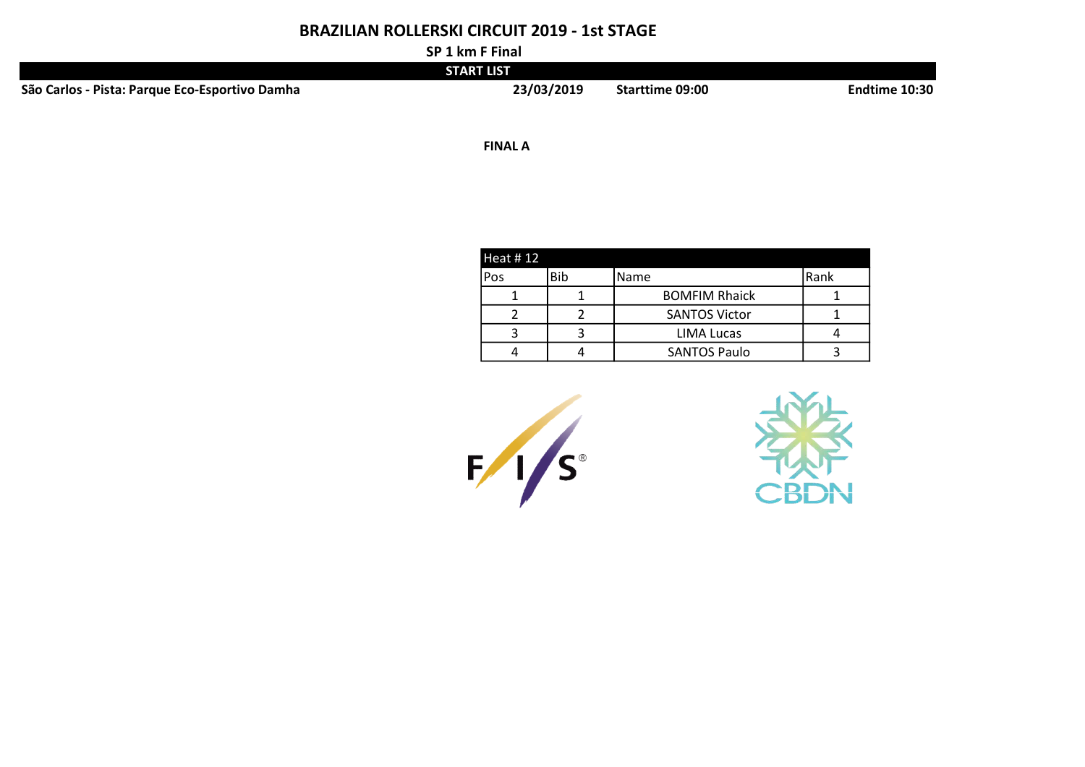## BRAZILIAN ROLLERSKI CIRCUIT 2019 - 1st STAGE

SP 1 km F Final

|                                                | $\mathbf{v}$ . The contract of $\mathbf{v}$ |                 |               |
|------------------------------------------------|---------------------------------------------|-----------------|---------------|
|                                                | START LIST                                  |                 |               |
| São Carlos - Pista: Parque Eco-Esportivo Damha | 23/03/2019                                  | Starttime 09:00 | Endtime 10:30 |

1/2 FINAL A REPORT OF THE SECOND SERVICE SERVICE SERVICE SERVICE SERVICE SERVICE SERVICE SERVICE SERVICE SERVICE

| <b>Heat #12</b> |     |                      |      |
|-----------------|-----|----------------------|------|
| Pos             | Bib | Name                 | Rank |
|                 |     | <b>BOMFIM Rhaick</b> |      |
|                 |     | <b>SANTOS Victor</b> |      |
|                 |     | LIMA Lucas           |      |
|                 |     | <b>SANTOS Paulo</b>  |      |